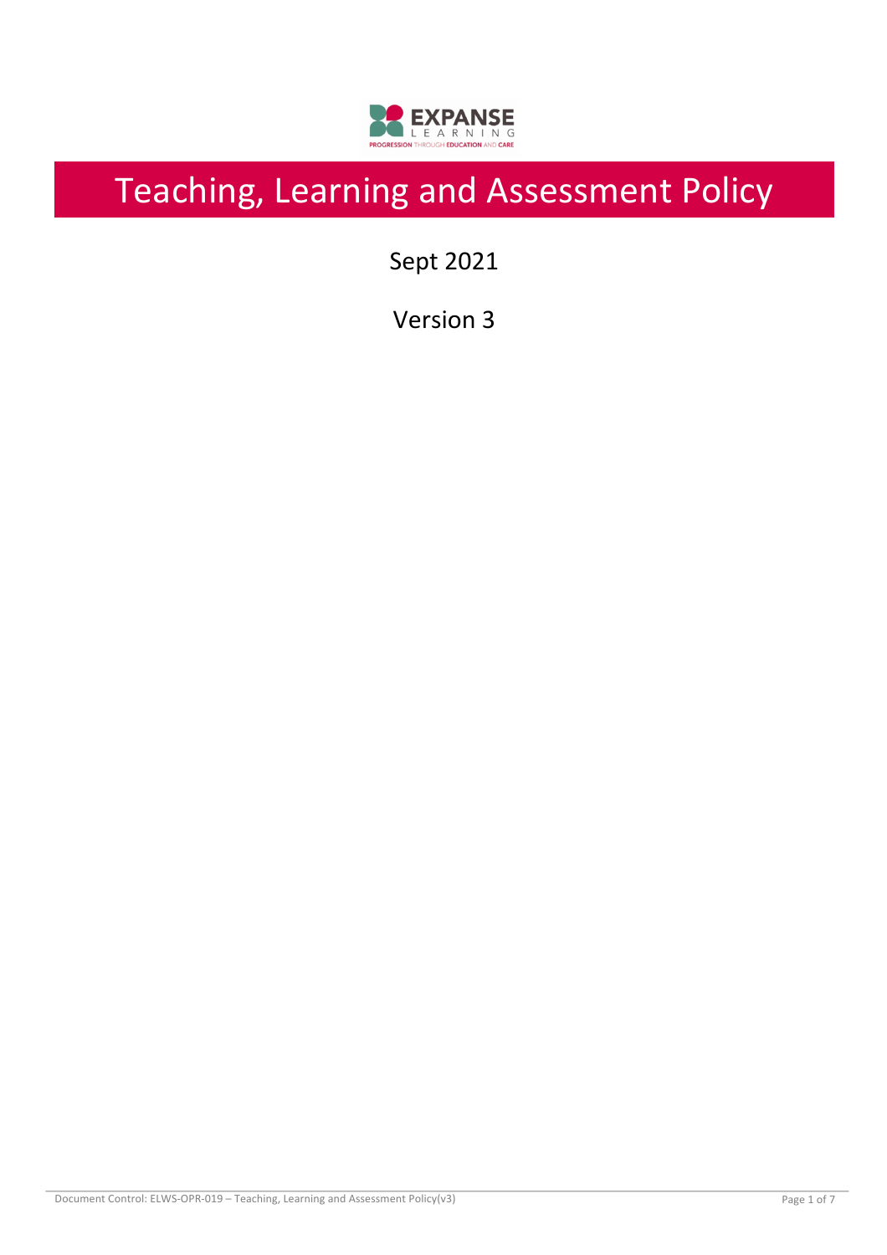

# Teaching, Learning and Assessment Policy

Sept 2021

Version 3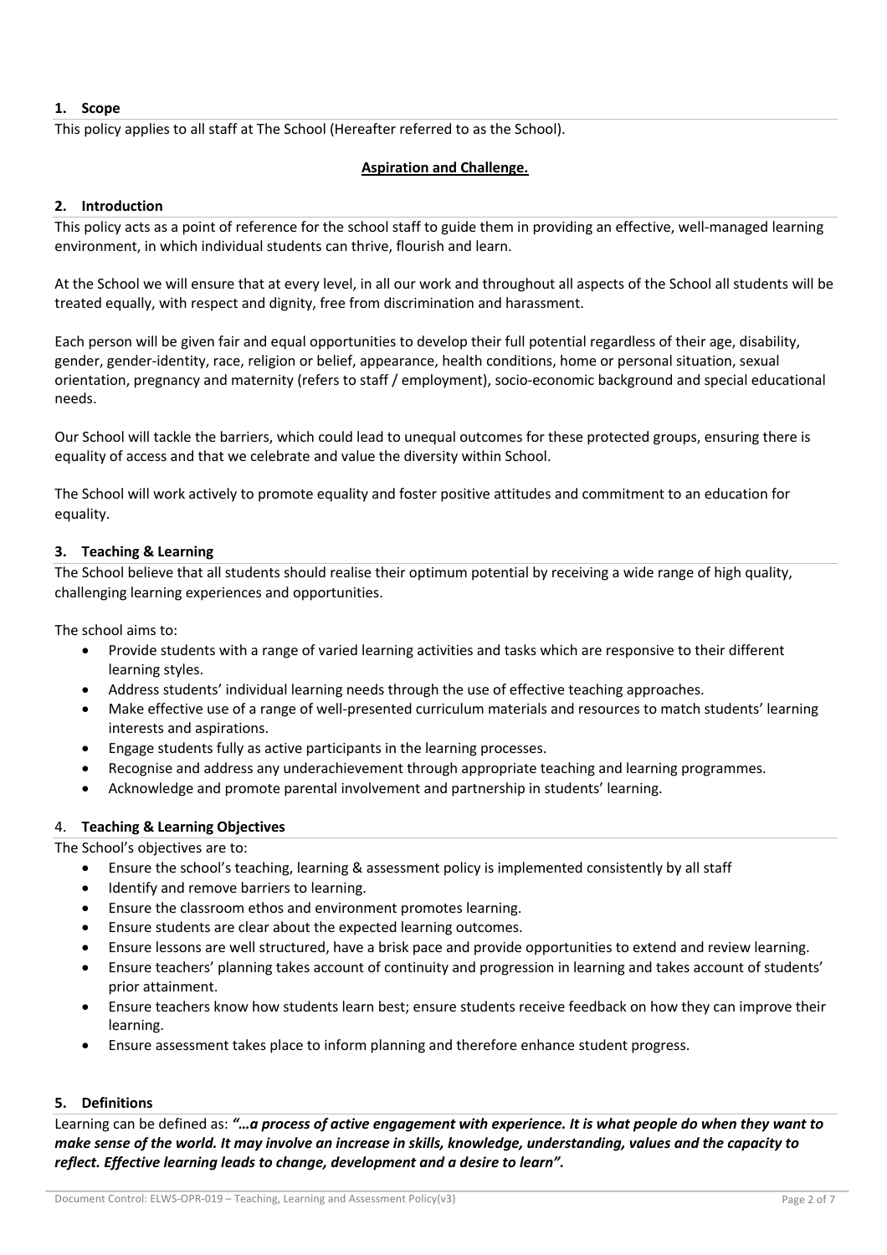## **1. Scope**

This policy applies to all staff at The School (Hereafter referred to as the School).

## **Aspiration and Challenge.**

#### **2. Introduction**

This policy acts as a point of reference for the school staff to guide them in providing an effective, well-managed learning environment, in which individual students can thrive, flourish and learn.

At the School we will ensure that at every level, in all our work and throughout all aspects of the School all students will be treated equally, with respect and dignity, free from discrimination and harassment.

Each person will be given fair and equal opportunities to develop their full potential regardless of their age, disability, gender, gender-identity, race, religion or belief, appearance, health conditions, home or personal situation, sexual orientation, pregnancy and maternity (refers to staff / employment), socio-economic background and special educational needs.

Our School will tackle the barriers, which could lead to unequal outcomes for these protected groups, ensuring there is equality of access and that we celebrate and value the diversity within School.

The School will work actively to promote equality and foster positive attitudes and commitment to an education for equality.

## **3. Teaching & Learning**

The School believe that all students should realise their optimum potential by receiving a wide range of high quality, challenging learning experiences and opportunities.

The school aims to:

- Provide students with a range of varied learning activities and tasks which are responsive to their different learning styles.
- Address students' individual learning needs through the use of effective teaching approaches.
- Make effective use of a range of well-presented curriculum materials and resources to match students' learning interests and aspirations.
- Engage students fully as active participants in the learning processes.
- Recognise and address any underachievement through appropriate teaching and learning programmes.
- Acknowledge and promote parental involvement and partnership in students' learning.

#### 4. **Teaching & Learning Objectives**

The School's objectives are to:

- Ensure the school's teaching, learning & assessment policy is implemented consistently by all staff
- Identify and remove barriers to learning.
- Ensure the classroom ethos and environment promotes learning.
- Ensure students are clear about the expected learning outcomes.
- Ensure lessons are well structured, have a brisk pace and provide opportunities to extend and review learning.
- Ensure teachers' planning takes account of continuity and progression in learning and takes account of students' prior attainment.
- Ensure teachers know how students learn best; ensure students receive feedback on how they can improve their learning.
- Ensure assessment takes place to inform planning and therefore enhance student progress.

# **5. Definitions**

Learning can be defined as: *"…a process of active engagement with experience. It is what people do when they want to make sense of the world. It may involve an increase in skills, knowledge, understanding, values and the capacity to reflect. Effective learning leads to change, development and a desire to learn".*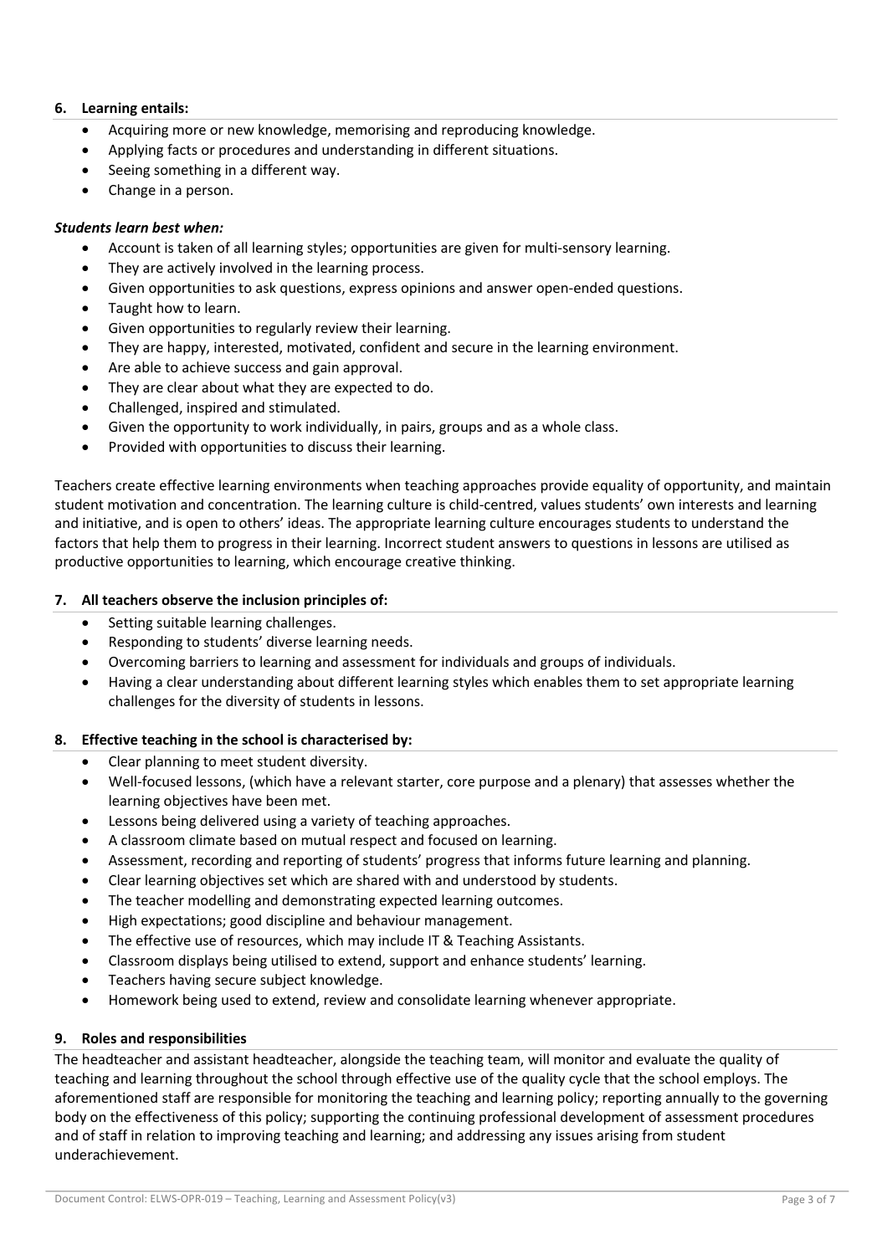# **6. Learning entails:**

- Acquiring more or new knowledge, memorising and reproducing knowledge.
- Applying facts or procedures and understanding in different situations.
- Seeing something in a different way.
- Change in a person.

## *Students learn best when:*

- Account is taken of all learning styles; opportunities are given for multi-sensory learning.
- They are actively involved in the learning process.
- Given opportunities to ask questions, express opinions and answer open-ended questions.
- Taught how to learn.
- Given opportunities to regularly review their learning.
- They are happy, interested, motivated, confident and secure in the learning environment.
- Are able to achieve success and gain approval.
- They are clear about what they are expected to do.
- Challenged, inspired and stimulated.
- Given the opportunity to work individually, in pairs, groups and as a whole class.
- Provided with opportunities to discuss their learning.

Teachers create effective learning environments when teaching approaches provide equality of opportunity, and maintain student motivation and concentration. The learning culture is child-centred, values students' own interests and learning and initiative, and is open to others' ideas. The appropriate learning culture encourages students to understand the factors that help them to progress in their learning. Incorrect student answers to questions in lessons are utilised as productive opportunities to learning, which encourage creative thinking.

## **7. All teachers observe the inclusion principles of:**

- Setting suitable learning challenges.
- Responding to students' diverse learning needs.
- Overcoming barriers to learning and assessment for individuals and groups of individuals.
- Having a clear understanding about different learning styles which enables them to set appropriate learning challenges for the diversity of students in lessons.

## **8. Effective teaching in the school is characterised by:**

- Clear planning to meet student diversity.
- Well-focused lessons, (which have a relevant starter, core purpose and a plenary) that assesses whether the learning objectives have been met.
- Lessons being delivered using a variety of teaching approaches.
- A classroom climate based on mutual respect and focused on learning.
- Assessment, recording and reporting of students' progress that informs future learning and planning.
- Clear learning objectives set which are shared with and understood by students.
- The teacher modelling and demonstrating expected learning outcomes.
- High expectations; good discipline and behaviour management.
- The effective use of resources, which may include IT & Teaching Assistants.
- Classroom displays being utilised to extend, support and enhance students' learning.
- Teachers having secure subject knowledge.
- Homework being used to extend, review and consolidate learning whenever appropriate.

## **9. Roles and responsibilities**

The headteacher and assistant headteacher, alongside the teaching team, will monitor and evaluate the quality of teaching and learning throughout the school through effective use of the quality cycle that the school employs. The aforementioned staff are responsible for monitoring the teaching and learning policy; reporting annually to the governing body on the effectiveness of this policy; supporting the continuing professional development of assessment procedures and of staff in relation to improving teaching and learning; and addressing any issues arising from student underachievement.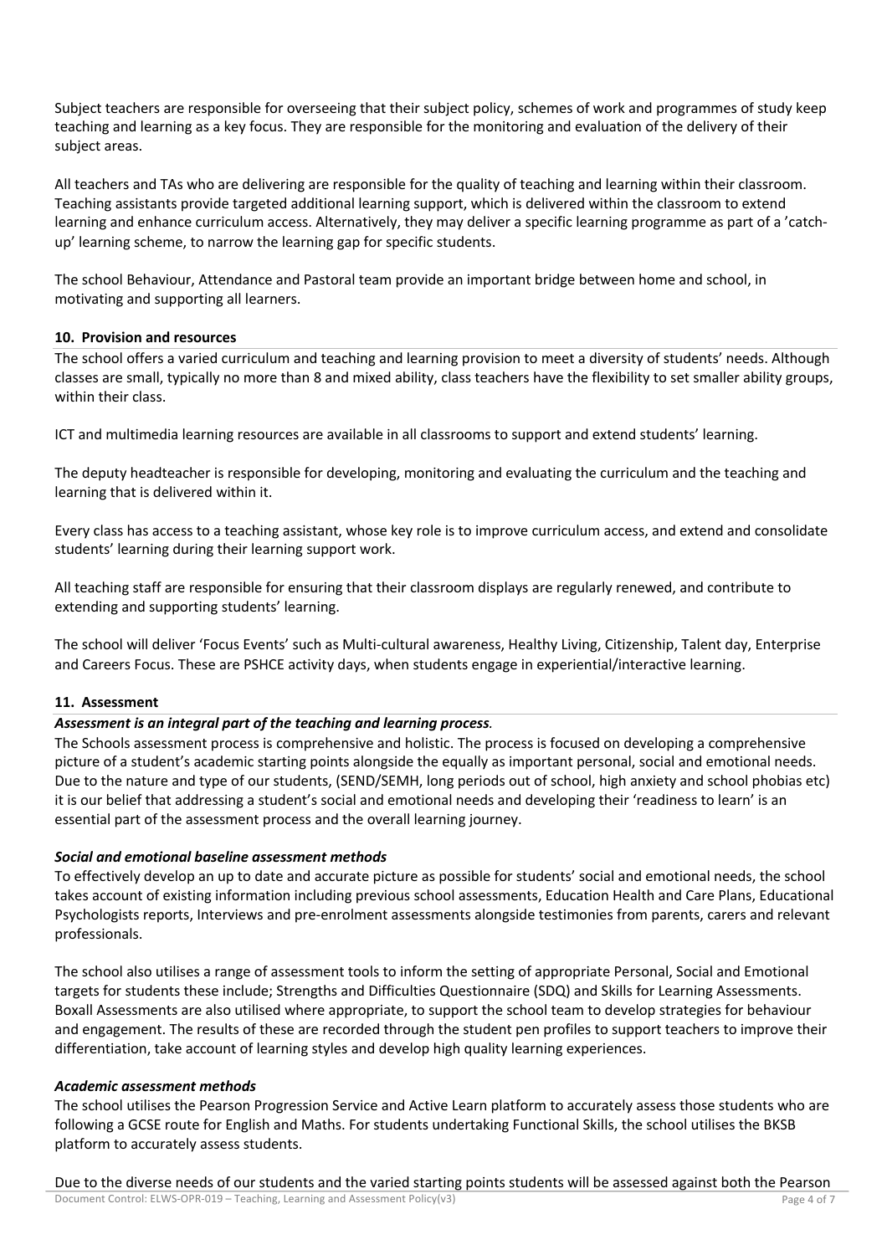Subject teachers are responsible for overseeing that their subject policy, schemes of work and programmes of study keep teaching and learning as a key focus. They are responsible for the monitoring and evaluation of the delivery of their subject areas.

All teachers and TAs who are delivering are responsible for the quality of teaching and learning within their classroom. Teaching assistants provide targeted additional learning support, which is delivered within the classroom to extend learning and enhance curriculum access. Alternatively, they may deliver a specific learning programme as part of a 'catchup' learning scheme, to narrow the learning gap for specific students.

The school Behaviour, Attendance and Pastoral team provide an important bridge between home and school, in motivating and supporting all learners.

#### **10. Provision and resources**

The school offers a varied curriculum and teaching and learning provision to meet a diversity of students' needs. Although classes are small, typically no more than 8 and mixed ability, class teachers have the flexibility to set smaller ability groups, within their class.

ICT and multimedia learning resources are available in all classrooms to support and extend students' learning.

The deputy headteacher is responsible for developing, monitoring and evaluating the curriculum and the teaching and learning that is delivered within it.

Every class has access to a teaching assistant, whose key role is to improve curriculum access, and extend and consolidate students' learning during their learning support work.

All teaching staff are responsible for ensuring that their classroom displays are regularly renewed, and contribute to extending and supporting students' learning.

The school will deliver 'Focus Events' such as Multi-cultural awareness, Healthy Living, Citizenship, Talent day, Enterprise and Careers Focus. These are PSHCE activity days, when students engage in experiential/interactive learning.

#### **11. Assessment**

## *Assessment is an integral part of the teaching and learning process.*

The Schools assessment process is comprehensive and holistic. The process is focused on developing a comprehensive picture of a student's academic starting points alongside the equally as important personal, social and emotional needs. Due to the nature and type of our students, (SEND/SEMH, long periods out of school, high anxiety and school phobias etc) it is our belief that addressing a student's social and emotional needs and developing their 'readiness to learn' is an essential part of the assessment process and the overall learning journey.

## *Social and emotional baseline assessment methods*

To effectively develop an up to date and accurate picture as possible for students' social and emotional needs, the school takes account of existing information including previous school assessments, Education Health and Care Plans, Educational Psychologists reports, Interviews and pre-enrolment assessments alongside testimonies from parents, carers and relevant professionals.

The school also utilises a range of assessment tools to inform the setting of appropriate Personal, Social and Emotional targets for students these include; Strengths and Difficulties Questionnaire (SDQ) and Skills for Learning Assessments. Boxall Assessments are also utilised where appropriate, to support the school team to develop strategies for behaviour and engagement. The results of these are recorded through the student pen profiles to support teachers to improve their differentiation, take account of learning styles and develop high quality learning experiences.

#### *Academic assessment methods*

The school utilises the Pearson Progression Service and Active Learn platform to accurately assess those students who are following a GCSE route for English and Maths. For students undertaking Functional Skills, the school utilises the BKSB platform to accurately assess students.

Due to the diverse needs of our students and the varied starting points students will be assessed against both the Pearson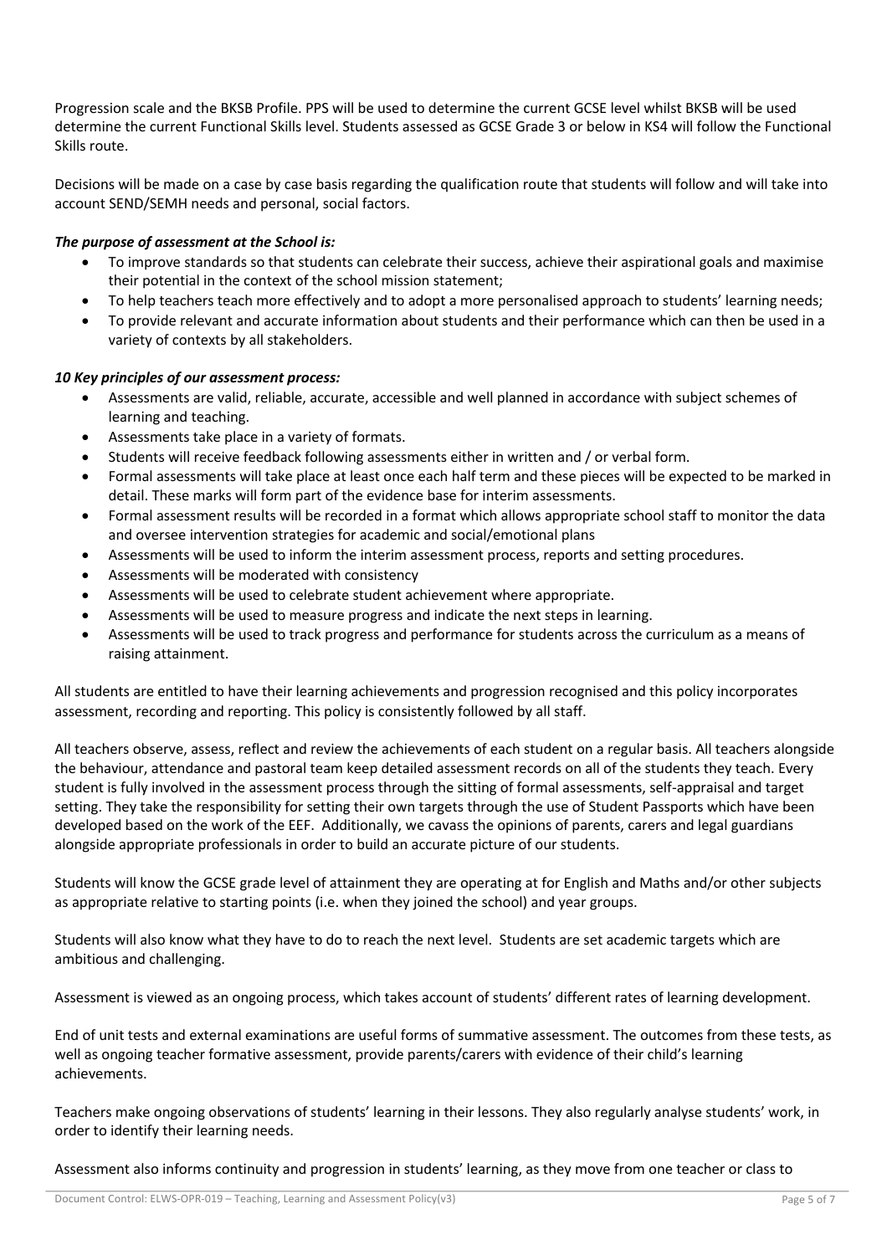Progression scale and the BKSB Profile. PPS will be used to determine the current GCSE level whilst BKSB will be used determine the current Functional Skills level. Students assessed as GCSE Grade 3 or below in KS4 will follow the Functional Skills route.

Decisions will be made on a case by case basis regarding the qualification route that students will follow and will take into account SEND/SEMH needs and personal, social factors.

## *The purpose of assessment at the School is:*

- To improve standards so that students can celebrate their success, achieve their aspirational goals and maximise their potential in the context of the school mission statement;
- To help teachers teach more effectively and to adopt a more personalised approach to students' learning needs;
- To provide relevant and accurate information about students and their performance which can then be used in a variety of contexts by all stakeholders.

# *10 Key principles of our assessment process:*

- Assessments are valid, reliable, accurate, accessible and well planned in accordance with subject schemes of learning and teaching.
- Assessments take place in a variety of formats.
- Students will receive feedback following assessments either in written and / or verbal form.
- Formal assessments will take place at least once each half term and these pieces will be expected to be marked in detail. These marks will form part of the evidence base for interim assessments.
- Formal assessment results will be recorded in a format which allows appropriate school staff to monitor the data and oversee intervention strategies for academic and social/emotional plans
- Assessments will be used to inform the interim assessment process, reports and setting procedures.
- Assessments will be moderated with consistency
- Assessments will be used to celebrate student achievement where appropriate.
- Assessments will be used to measure progress and indicate the next steps in learning.
- Assessments will be used to track progress and performance for students across the curriculum as a means of raising attainment.

All students are entitled to have their learning achievements and progression recognised and this policy incorporates assessment, recording and reporting. This policy is consistently followed by all staff.

All teachers observe, assess, reflect and review the achievements of each student on a regular basis. All teachers alongside the behaviour, attendance and pastoral team keep detailed assessment records on all of the students they teach. Every student is fully involved in the assessment process through the sitting of formal assessments, self-appraisal and target setting. They take the responsibility for setting their own targets through the use of Student Passports which have been developed based on the work of the EEF. Additionally, we cavass the opinions of parents, carers and legal guardians alongside appropriate professionals in order to build an accurate picture of our students.

Students will know the GCSE grade level of attainment they are operating at for English and Maths and/or other subjects as appropriate relative to starting points (i.e. when they joined the school) and year groups.

Students will also know what they have to do to reach the next level. Students are set academic targets which are ambitious and challenging.

Assessment is viewed as an ongoing process, which takes account of students' different rates of learning development.

End of unit tests and external examinations are useful forms of summative assessment. The outcomes from these tests, as well as ongoing teacher formative assessment, provide parents/carers with evidence of their child's learning achievements.

Teachers make ongoing observations of students' learning in their lessons. They also regularly analyse students' work, in order to identify their learning needs.

Assessment also informs continuity and progression in students' learning, as they move from one teacher or class to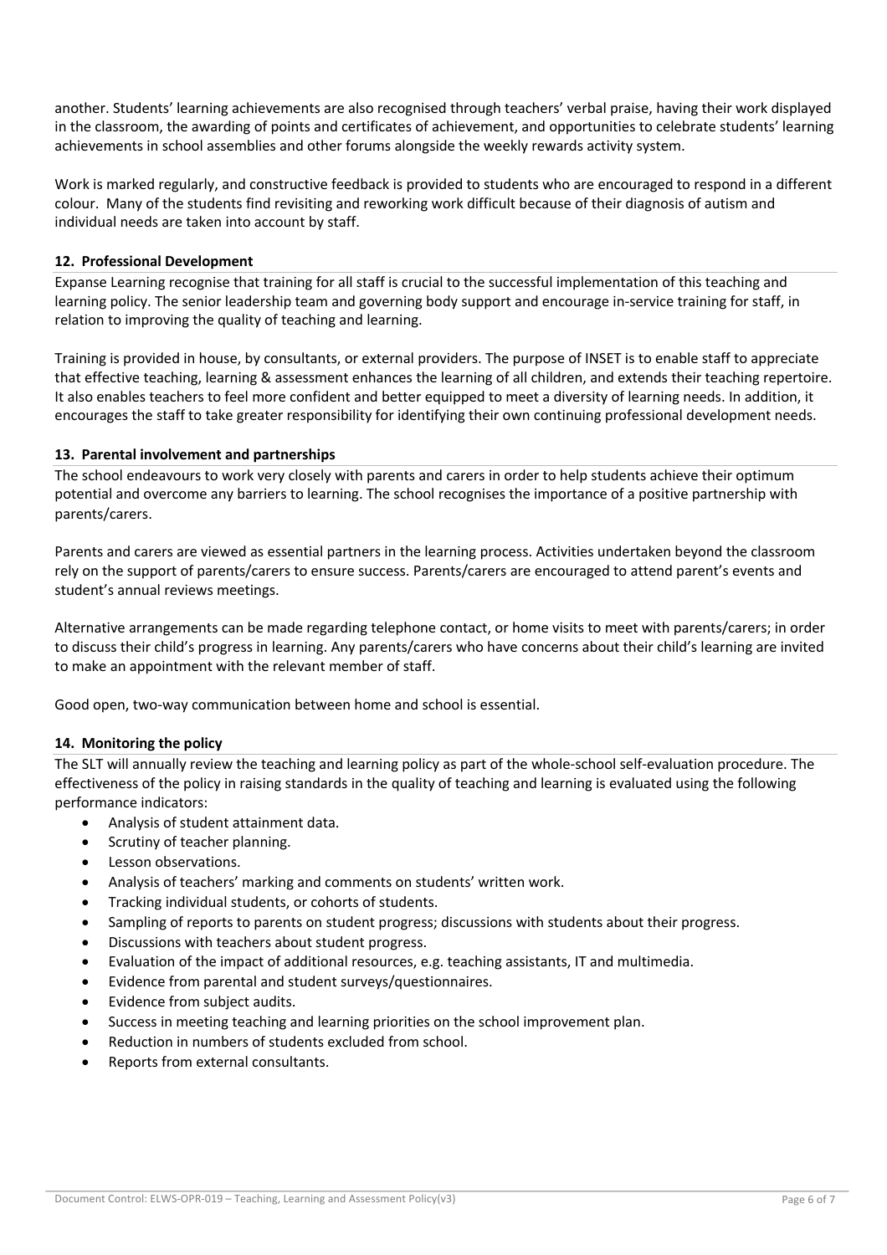another. Students' learning achievements are also recognised through teachers' verbal praise, having their work displayed in the classroom, the awarding of points and certificates of achievement, and opportunities to celebrate students' learning achievements in school assemblies and other forums alongside the weekly rewards activity system.

Work is marked regularly, and constructive feedback is provided to students who are encouraged to respond in a different colour. Many of the students find revisiting and reworking work difficult because of their diagnosis of autism and individual needs are taken into account by staff.

## **12. Professional Development**

Expanse Learning recognise that training for all staff is crucial to the successful implementation of this teaching and learning policy. The senior leadership team and governing body support and encourage in-service training for staff, in relation to improving the quality of teaching and learning.

Training is provided in house, by consultants, or external providers. The purpose of INSET is to enable staff to appreciate that effective teaching, learning & assessment enhances the learning of all children, and extends their teaching repertoire. It also enables teachers to feel more confident and better equipped to meet a diversity of learning needs. In addition, it encourages the staff to take greater responsibility for identifying their own continuing professional development needs.

#### **13. Parental involvement and partnerships**

The school endeavours to work very closely with parents and carers in order to help students achieve their optimum potential and overcome any barriers to learning. The school recognises the importance of a positive partnership with parents/carers.

Parents and carers are viewed as essential partners in the learning process. Activities undertaken beyond the classroom rely on the support of parents/carers to ensure success. Parents/carers are encouraged to attend parent's events and student's annual reviews meetings.

Alternative arrangements can be made regarding telephone contact, or home visits to meet with parents/carers; in order to discuss their child's progress in learning. Any parents/carers who have concerns about their child's learning are invited to make an appointment with the relevant member of staff.

Good open, two-way communication between home and school is essential.

## **14. Monitoring the policy**

The SLT will annually review the teaching and learning policy as part of the whole-school self-evaluation procedure. The effectiveness of the policy in raising standards in the quality of teaching and learning is evaluated using the following performance indicators:

- Analysis of student attainment data.
- Scrutiny of teacher planning.
- Lesson observations.
- Analysis of teachers' marking and comments on students' written work.
- Tracking individual students, or cohorts of students.
- Sampling of reports to parents on student progress; discussions with students about their progress.
- Discussions with teachers about student progress.
- Evaluation of the impact of additional resources, e.g. teaching assistants, IT and multimedia.
- Evidence from parental and student surveys/questionnaires.
- Evidence from subject audits.
- Success in meeting teaching and learning priorities on the school improvement plan.
- Reduction in numbers of students excluded from school.
- Reports from external consultants.